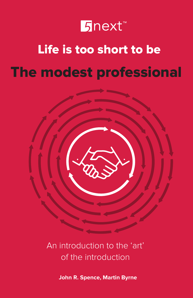

# Life is too short to be The modest professional



### An introduction to the 'art' of the introduction

**John R. Spence, Martin Byrne**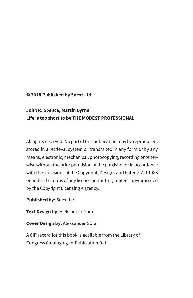#### **© 2018 Published by 5next Ltd**

#### **John R. Spence, Martin Byrne Life is too short to be THE MODEST PROFESSIONAL**

All rights reserved. No part of this publication may be reproduced, stored in a retrieval system or transmited in any form or by any means, electronic, mechanical, photocopying, recording or otherwise without the prior permision of the publisher or in accordance with the provisions of the Copyright, Designs and Patents Act 1988 or under the terms of any licence permitting limited copying issued by the Copyright Licensing Angency.

**Published by:** 5next Ltd

**Text Design by:** Aleksander Góra

**Cover Design by:** Aleksander Góra

A CIP record for this book is acailable from the Library of Congress Cataloging-in-Publication Data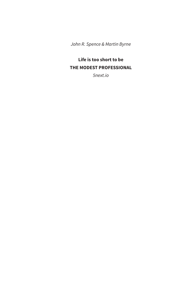*John R. Spence & Martin Byrne*

#### **Life is too short to be THE MODEST PROFESSIONAL**

*5next.io*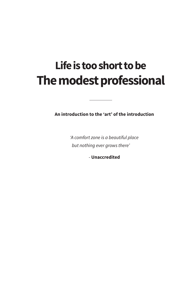## **Life is too short to be The modest professional**

**An introduction to the 'art' of the introduction**

*'A comfort zone is a beautiful place but nothing ever grows there'*

- **Unaccredited**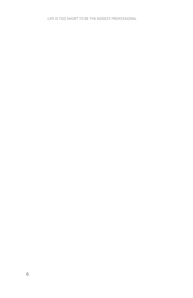#### LIFE IS TOO SHORT TO BE THE MODEST PROFESSIONAL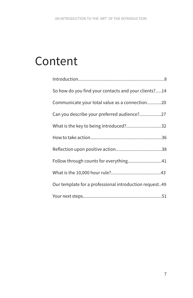## Content

| So how do you find your contacts and your clients?14   |
|--------------------------------------------------------|
| Communicate your total value as a connection20         |
|                                                        |
| What is the key to being introduced?32                 |
|                                                        |
|                                                        |
| Follow through counts for everything41                 |
|                                                        |
| Our template for a professional introduction request49 |
|                                                        |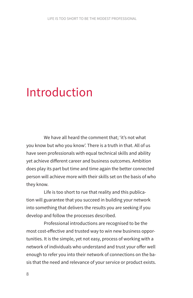### Introduction

We have all heard the comment that; 'it's not what you know but who you know'. There is a truth in that. All of us have seen professionals with equal technical skills and ability yet achieve different career and business outcomes. Ambition does play its part but time and time again the better connected person will achieve more with their skills set on the basis of who they know.

Life is too short to rue that reality and this publication will guarantee that you succeed in building your network into something that delivers the results you are seeking if you develop and follow the processes described.

Professional introductions are recognised to be the most cost-effective and trusted way to win new business opportunities. It is the simple, yet not easy, process of working with a network of individuals who understand and trust your offer well enough to refer you into their network of connections on the basis that the need and relevance of your service or product exists.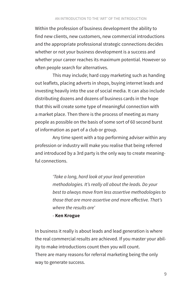Within the profession of business development the ability to find new clients, new customers, new commercial introductions and the appropriate professional strategic connections decides whether or not your business development is a success and whether your career reaches its maximum potential. However so often people search for alternatives.

This may include; hard copy marketing such as handing out leaflets, placing adverts in shops, buying internet leads and investing heavily into the use of social media. It can also include distributing dozens and dozens of business cards in the hope that this will create some type of meaningful connection with a market place. Then there is the process of meeting as many people as possible on the basis of some sort of 60 second burst of information as part of a club or group.

Any time spent with a top performing adviser within any profession or industry will make you realise that being referred and introduced by a 3rd party is the only way to create meaningful connections.

> *'Take a long, hard look at your lead generation methodologies. It's really all about the leads. Do your best to always move from less assertive methodologies to those that are more assertive and more effective. That's where the results are'*

#### - **Ken Krogue**

In business it really is about leads and lead generation is where the real commercial results are achieved. If you master your ability to make introductions count then you will count. There are many reasons for referral marketing being the only way to generate success.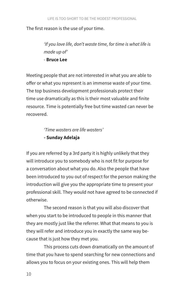The first reason is the use of your time.

*'If you love life, don't waste time, for time is what life is made up of'* - **Bruce Lee**

Meeting people that are not interested in what you are able to offer or what you represent is an immense waste of your time. The top business development professionals protect their time use dramatically as this is their most valuable and finite resource. Time is potentially free but time wasted can never be recovered.

> *'Time wasters are life wasters'* **- Sunday Adelaja**

If you are referred by a 3rd party it is highly unlikely that they will introduce you to somebody who is not fit for purpose for a conversation about what you do. Also the people that have been introduced to you out of respect for the person making the introduction will give you the appropriate time to present your professional skill. They would not have agreed to be connected if otherwise.

The second reason is that you will also discover that when you start to be introduced to people in this manner that they are mostly just like the referrer. What that means to you is they will refer and introduce you in exactly the same way because that is just how they met you.

This process cuts down dramatically on the amount of time that you have to spend searching for new connections and allows you to focus on your existing ones. This will help them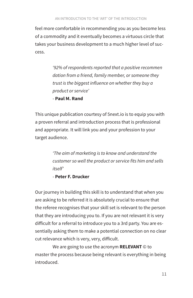feel more comfortable in recommending you as you become less of a commodity and it eventually becomes a virtuous circle that takes your business development to a much higher level of success.

> *'92% of respondents reported that a positive recommen dation from a friend, family member, or someone they trust is the biggest influence on whether they buy a product or service'*

- **Paul M. Rand**

This unique publication courtesy of 5next.io is to equip you with a proven referral and introduction process that is professional and appropriate. It will link you and your profession to your target audience.

> *'The aim of marketing is to know and understand the customer so well the product or service fits him and sells itself'*

#### - **Peter F. Drucker**

Our journey in building this skill is to understand that when you are asking to be referred it is absolutely crucial to ensure that the referee recognises that your skill set is relevant to the person that they are introducing you to. If you are not relevant it is very difficult for a referral to introduce you to a 3rd party. You are essentially asking them to make a potential connection on no clear cut relevance which is very, very, difficult.

We are going to use the acronym **RELEVANT** © to master the process because being relevant is everything in being introduced.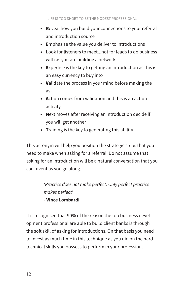- Reveal how you build your connections to your referral and introduction source
- Emphasise the value you deliver to introductions
- Look for listeners to meet...not for leads to do business with as you are building a network
- Expertise is the key to getting an introduction as this is an easy currency to buy into
- Validate the process in your mind before making the ask
- Action comes from validation and this is an action activity
- Next moves after receiving an introduction decide if you will get another
- Training is the key to generating this ability

This acronym will help you position the strategic steps that you need to make when asking for a referral. Do not assume that asking for an introduction will be a natural conversation that you can invent as you go along.

> *'Practice does not make perfect. Only perfect practice makes perfect'* - **Vince Lombardi**

It is recognised that 90% of the reason the top business development professional are able to build client banks is through the soft skill of asking for introductions. On that basis you need to invest as much time in this technique as you did on the hard technical skills you possess to perform in your profession.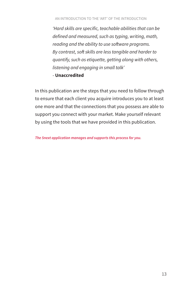*'Hard skills are specific, teachable abilities that can be defined and measured, such as typing, writing, math, reading and the ability to use software programs. By contrast, soft skills are less tangible and harder to quantify, such as etiquette, getting along with others, listening and engaging in small talk'*

- **Unaccredited**

In this publication are the steps that you need to follow through to ensure that each client you acquire introduces you to at least one more and that the connections that you possess are able to support you connect with your market. Make yourself relevant by using the tools that we have provided in this publication.

*The 5next application manages and supports this process for you.*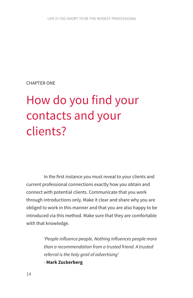CHAPTER ONE

# How do you find your contacts and your clients?

In the first instance you must reveal to your clients and current professional connections exactly how you obtain and connect with potential clients. Communicate that you work through introductions only. Make it clear and share why you are obliged to work in this manner and that you are also happy to be introduced via this method. Make sure that they are comfortable with that knowledge.

> *'People influence people. Nothing influences people more than a recommendation from a trusted friend. A trusted referral is the holy grail of advertising'*

- **Mark Zuckerberg**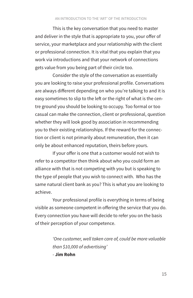#### AN INTRODUCTION TO THE 'ART' OF THE INTRODUCTION

This is the key conversation that you need to master and deliver in the style that is appropriate to you, your offer of service, your marketplace and your relationship with the client or professional connection. It is vital that you explain that you work via introductions and that your network of connections gets value from you being part of their circle too.

Consider the style of the conversation as essentially you are looking to raise your professional profile. Conversations are always different depending on who you're talking to and it is easy sometimes to slip to the left or the right of what is the centre ground you should be looking to occupy. Too formal or too casual can make the connection, client or professional, question whether they will look good by association in recommending you to their existing relationships. If the reward for the connection or client is not primarily about remuneration, then it can only be about enhanced reputation, theirs before yours.

If your offer is one that a customer would not wish to refer to a competitor then think about who you could form an alliance with that is not competing with you but is speaking to the type of people that you wish to connect with. Who has the same natural client bank as you? This is what you are looking to achieve.

Your professional profile is everything in terms of being visible as someone competent in offering the service that you do. Every connection you have will decide to refer you on the basis of their perception of your competence.

> *'One customer, well taken care of, could be more valuable than \$10,000 of advertising'* - **Jim Rohn**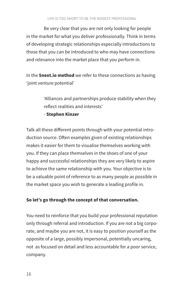Be very clear that you are not only looking for people in the market for what you deliver professionally. Think in terms of developing strategic relationships especially introductions to those that you can be introduced to who may have connections and relevance into the market place that you perform in.

In the **5next.io method** we refer to these connections as having 'joint venture potential'

> 'Alliances and partnerships produce stability when they reflect realities and interests'

#### - **Stephen Kinzer**

Talk all these different points through with your potential introduction source. Often examples given of existing relationships makes it easier for them to visualise themselves working with you. If they can place themselves in the shoes of one of your happy and successful relationships they are very likely to aspire to achieve the same relationship with you. Your objective is to be a valuable point of reference to as many people as possible in the market space you wish to generate a leading profile in.

#### **So let's go through the concept of that conversation.**

You need to reinforce that you build your professional reputation only through referral and introduction. If you are not a big corporate, and maybe you are not, it is easy to position yourself as the opposite of a large, possibly impersonal, potentially uncaring, not as focused on detail and less accountable for a poor service, company.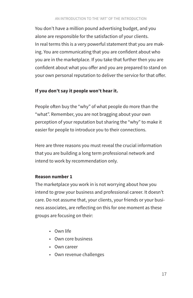#### AN INTRODUCTION TO THE 'ART' OF THE INTRODUCTION

You don't have a million pound advertising budget, and you alone are responsible for the satisfaction of your clients. In real terms this is a very powerful statement that you are making. You are communicating that you are confident about who you are in the marketplace. If you take that further then you are confident about what you offer and you are prepared to stand on your own personal reputation to deliver the service for that offer.

#### **If you don't say it people won't hear it.**

People often buy the "why" of what people do more than the "what". Remember, you are not bragging about your own perception of your reputation but sharing the "why" to make it easier for people to introduce you to their connections.

Here are three reasons you must reveal the crucial information that you are building a long term professional network and intend to work by recommendation only.

#### **Reason number 1**

The marketplace you work in is not worrying about how you intend to grow your business and professional career. It doesn't care. Do not assume that, your clients, your friends or your business associates, are reflecting on this for one moment as these groups are focusing on their:

- Own life
- Own core business
- Own career
- Own revenue challenges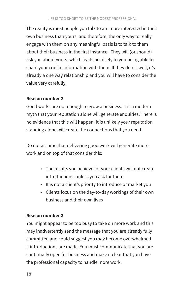The reality is most people you talk to are more interested in their own business than yours, and therefore, the only way to really engage with them on any meaningful basis is to talk to them about their business in the first instance. They will (or should) ask you about yours, which leads on nicely to you being able to share your crucial information with them. If they don't, well, it's already a one way relationship and you will have to consider the value very carefully.

#### **Reason number 2**

Good works are not enough to grow a business. It is a modern myth that your reputation alone will generate enquiries. There is no evidence that this will happen. It is unlikely your reputation standing alone will create the connections that you need.

Do not assume that delivering good work will generate more work and on top of that consider this:

- The results you achieve for your clients will not create introductions, unless you ask for them
- It is not a client's priority to introduce or market you
- Clients focus on the day-to-day workings of their own business and their own lives

#### **Reason number 3**

You might appear to be too busy to take on more work and this may inadvertently send the message that you are already fully committed and could suggest you may become overwhelmed if introductions are made. You must communicate that you are continually open for business and make it clear that you have the professional capacity to handle more work.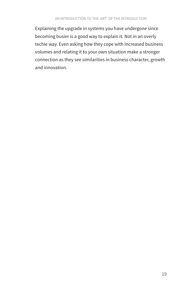Explaining the upgrade in systems you have undergone since becoming busier is a good way to explain it. Not in an overly techie way. Even asking how they cope with increased business volumes and relating it to your own situation make a stronger connection as they see similarities in business character, growth and innovation.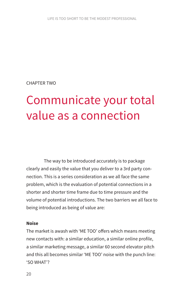#### CHAPTER TWO

## Communicate your total value as a connection

The way to be introduced accurately is to package clearly and easily the value that you deliver to a 3rd party connection. This is a series consideration as we all face the same problem, which is the evaluation of potential connections in a shorter and shorter time frame due to time pressure and the volume of potential introductions. The two barriers we all face to being introduced as being of value are:

#### **Noise**

The market is awash with 'ME TOO' offers which means meeting new contacts with: a similar education, a similar online profile, a similar marketing message, a similar 60 second elevator pitch and this all becomes similar 'ME TOO' noise with the punch line: 'SO WHAT'?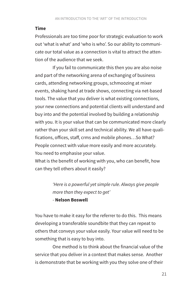#### **Time**

Professionals are too time poor for strategic evaluation to work out 'what is what' and 'who is who'. So our ability to communicate our total value as a connection is vital to attract the attention of the audience that we seek.

If you fail to communicate this then you are also noise and part of the networking arena of exchanging of business cards, attending networking groups, schmoozing at mixer events, shaking hand at trade shows, connecting via net-based tools. The value that you deliver is what existing connections, your new connections and potential clients will understand and buy into and the potential involved by building a relationship with you. It is your value that can be communicated more clearly rather than your skill set and technical ability. We all have qualifications, offices, staff, crms and mobile phones…So What? People connect with value more easily and more accurately. You need to emphasise your value.

What is the benefit of working with you, who can benefit, how can they tell others about it easily?

> *'Here is a powerful yet simple rule. Always give people more than they expect to get'* - **Nelson Boswell**

You have to make it easy for the referrer to do this. This means developing a transferable soundbite that they can repeat to others that conveys your value easily. Your value will need to be something that is easy to buy into.

One method is to think about the financial value of the service that you deliver in a context that makes sense. Another is demonstrate that be working with you they solve one of their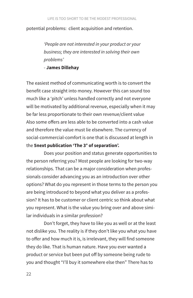#### potential problems: client acquisition and retention.

*'People are not interested in your product or your business; they are interested in solving their own problems'*

#### - **James Dillehay**

The easiest method of communicating worth is to convert the benefit case straight into money. However this can sound too much like a 'pitch' unless handled correctly and not everyone will be motivated by additional revenue, especially when it may be far less proportionate to their own revenue/client value Also some offers are less able to be converted into a cash value and therefore the value must lie elsewhere. The currency of social-commercial-comfort is one that is discussed at length in the **5next publication 'The 3° of separation'.**

Does your position and status generate opportunities to the person referring you? Most people are looking for two-way relationships. That can be a major consideration when professionals consider advancing you as an introduction over other options? What do you represent in those terms to the person you are being introduced to beyond what you deliver as a profession? It has to be customer or client centric so think about what you represent. What is the value you bring over and above similar individuals in a similar profession?

Don't forget, they have to like you as well or at the least not dislike you. The reality is if they don't like you what you have to offer and how much it is, is irrelevant, they will find someone they do like. That is human nature. Have you ever wanted a product or service but been put off by someone being rude to you and thought "I'll buy it somewhere else then" There has to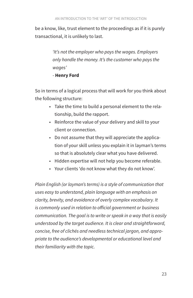be a know, like, trust element to the proceedings as if it is purely transactional, it is unlikely to last.

> *'It's not the employer who pays the wages. Employers only handle the money. It's the customer who pays the wages'*

#### - **Henry Ford**

So in terms of a logical process that will work for you think about the following structure:

- Take the time to build a personal element to the relationship, build the rapport.
- Reinforce the value of your delivery and skill to your client or connection.
- Do not assume that they will appreciate the application of your skill unless you explain it in layman's terms so that is absolutely clear what you have delivered.
- Hidden expertise will not help you become referable.
- Your clients 'do not know what they do not know'.

*Plain English (or layman's terms) is a style of communication that uses easy to understand, plain language with an emphasis on clarity, brevity, and avoidance of overly complex vocabulary. It is commonly used in relation to official government or business communication. The goal is to write or speak in a way that is easily understood by the target audience. It is clear and straightforward, concise, free of clichés and needless technical jargon, and appropriate to the audience's developmental or educational level and their familiarity with the topic.*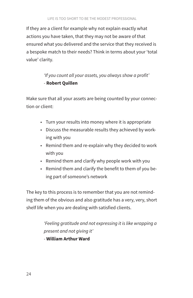If they are a client for example why not explain exactly what actions you have taken, that they may not be aware of that ensured what you delivered and the service that they received is a bespoke match to their needs? Think in terms about your 'total value' clarity.

#### *'If you count all your assets, you always show a profit'* - **Robert Quillen**

Make sure that all your assets are being counted by your connection or client:

- Turn your results into money where it is appropriate
- Discuss the measurable results they achieved by working with you
- Remind them and re-explain why they decided to work with you
- Remind them and clarify why people work with you
- Remind them and clarify the benefit to them of you being part of someone's network

The key to this process is to remember that you are not reminding them of the obvious and also gratitude has a very, very, short shelf life when you are dealing with satisfied clients.

> *'Feeling gratitude and not expressing it is like wrapping a present and not giving it'*

- **William Arthur Ward**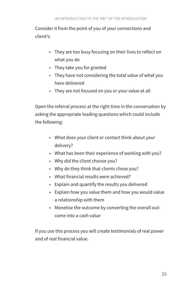Consider it from the point of you of your connections and client's:

- They are too busy focusing on their lives to reflect on what you do
- They take you for granted
- They have not considering the total value of what you have delivered
- They are not focused on you or your value at all

Open the referral process at the right time in the conversation by asking the appropriate leading questions which could include the following:

- What does your client or contact think about your delivery?
- What has been their experience of working with you?
- Why did the client choose you?
- Why do they think that clients chose you?
- What financial results were achieved?
- Explain and quantify the results you delivered
- Explain how you value them and how you would value a relationship with them
- Monetise the outcome by converting the overall outcome into a cash value

If you use this process you will create testimonials of real power and of real financial value.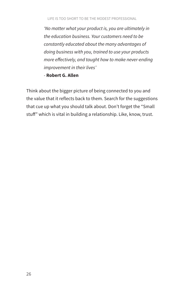*'No matter what your product is, you are ultimately in the education business. Your customers need to be constantly educated about the many advantages of doing business with you, trained to use your products more effectively, and taught how to make never-ending improvement in their lives'*

- **Robert G. Allen**

Think about the bigger picture of being connected to you and the value that it reflects back to them. Search for the suggestions that cue up what you should talk about. Don't forget the "Small stuff" which is vital in building a relationship. Like, know, trust.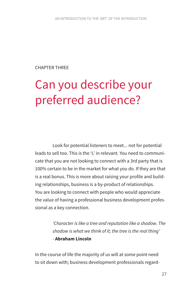#### CHAPTER THREE

## Can you describe your preferred audience?

Look for potential listeners to meet... not for potential leads to sell too. This is the 'L' in relevant. You need to communicate that you are not looking to connect with a 3rd party that is 100% certain to be in the market for what you do. If they are that is a real bonus. This is more about raising your profile and building relationships, business is a by-product of relationships. You are looking to connect with people who would appreciate the value of having a professional business development professional as a key connection.

> *'Character is like a tree and reputation like a shadow. The shadow is what we think of it; the tree is the real thing'* - **Abraham Lincoln**

In the course of life the majority of us will at some point need to sit down with; business development professionals regard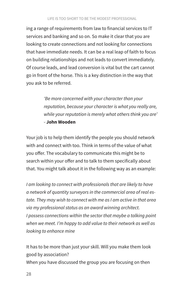ing a range of requirements from law to financial services to IT services and banking and so on. So make it clear that you are looking to create connections and not looking for connections that have immediate needs. It can be a real leap of faith to focus on building relationships and not leads to convert immediately. Of course leads, and lead conversion is vital but the cart cannot go in front of the horse. This is a key distinction in the way that you ask to be referred.

> *'Be more concerned with your character than your reputation, because your character is what you really are, while your reputation is merely what others think you are'* - **John Wooden**

Your job is to help them identify the people you should network with and connect with too. Think in terms of the value of what you offer. The vocabulary to communicate this might be to search within your offer and to talk to them specifically about that. You might talk about it in the following way as an example:

*I am looking to connect with professionals that are likely to have a network of quantity surveyors in the commercial area of real estate. They may wish to connect with me as I am active in that area via my professional status as an award winning architect. I possess connections within the sector that maybe a talking point when we meet. I'm happy to add value to their network as well as looking to enhance mine*

It has to be more than just your skill. Will you make them look good by association? When you have discussed the group you are focusing on then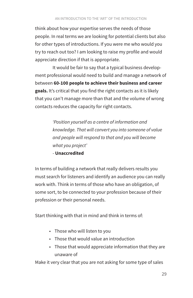think about how your expertise serves the needs of those people. In real terms we are looking for potential clients but also for other types of introductions. If you were me who would you try to reach out too? I am looking to raise my profile and would appreciate direction if that is appropriate.

It would be fair to say that a typical business development professional would need to build and manage a network of between **60-100 people to achieve their business and career goals.** It's critical that you find the right contacts as it is likely that you can't manage more than that and the volume of wrong contacts reduces the capacity for right contacts.

> *'Position yourself as a centre of information and knowledge. That will convert you into someone of value and people will respond to that and you will become what you project'*

#### - **Unaccredited**

In terms of building a network that really delivers results you must search for listeners and identify an audience you can really work with. Think in terms of those who have an obligation, of some sort, to be connected to your profession because of their profession or their personal needs.

Start thinking with that in mind and think in terms of:

- Those who will listen to you
- Those that would value an introduction
- Those that would appreciate information that they are unaware of

Make it very clear that you are not asking for some type of sales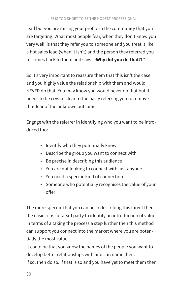lead but you are raising your profile in the community that you are targeting. What most people fear, when they don't know you very well, is that they refer you to someone and you treat it like a hot sales lead (when it isn't) and the person they referred you to comes back to them and says: **"Why did you do that?!"** 

So it's very important to reassure them that this isn't the case and you highly value the relationship with them and would NEVER do that. You may know you would never do that but it needs to be crystal clear to the party referring you to remove that fear of the unknown outcome.

Engage with the referrer in identifying who you want to be introduced too:

- Identify who they potentially know
- Describe the group you want to connect with
- Be precise in describing this audience
- You are not looking to connect with just anyone
- You need a specific kind of connection
- Someone who potentially recognises the value of your offer

The more specific that you can be in describing this target then the easier it is for a 3rd party to identify an introduction of value. In terms of a taking the process a step further then this method can support you connect into the market where you are potentially the most value.

It could be that you know the names of the people you want to develop better relationships with and can name then.

If so, then do so. If that is so and you have yet to meet them then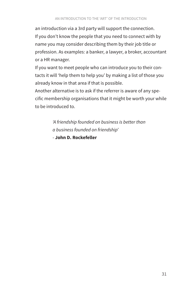an introduction via a 3rd party will support the connection. If you don't know the people that you need to connect with by name you may consider describing them by their job title or profession. As examples: a banker, a lawyer, a broker, accountant or a HR manager.

If you want to meet people who can introduce you to their contacts it will 'help them to help you' by making a list of those you already know in that area if that is possible.

Another alternative is to ask if the referrer is aware of any specific membership organisations that it might be worth your while to be introduced to.

> *'A friendship founded on business is better than a business founded on friendship'* - **John D. Rockefeller**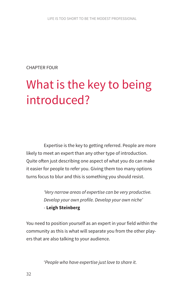#### CHAPTER FOUR

# What is the key to being introduced?

Expertise is the key to getting referred. People are more likely to meet an expert than any other type of introduction. Quite often just describing one aspect of what you do can make it easier for people to refer you. Giving them too many options turns focus to blur and this is something you should resist.

> *'Very narrow areas of expertise can be very productive. Develop your own profile. Develop your own niche'* - **Leigh Steinberg**

You need to position yourself as an expert in your field within the community as this is what will separate you from the other players that are also talking to your audience.

'*People who have expertise just love to share it.*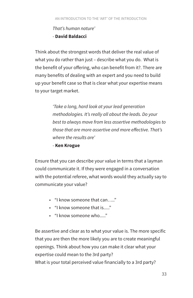*That's human nature'* - **David Baldacci**

Think about the strongest words that deliver the real value of what you do rather than just – describe what you do. What is the benefit of your offering, who can benefit from it?. There are many benefits of dealing with an expert and you need to build up your benefit case so that is clear what your expertise means to your target market.

> *'Take a long, hard look at your lead generation methodologies. It's really all about the leads. Do your best to always move from less assertive methodologies to those that are more assertive and more effective. That's where the results are'*

#### - **Ken Krogue**

Ensure that you can describe your value in terms that a layman could communicate it. If they were engaged in a conversation with the potential referee, what words would they actually say to communicate your value?

- "I know someone that can….."
- "I know someone that is....."
- "I know someone who....."

Be assertive and clear as to what your value is. The more specific that you are then the more likely you are to create meaningful openings. Think about how you can make it clear what your expertise could mean to the 3rd party? What is your total perceived value financially to a 3rd party?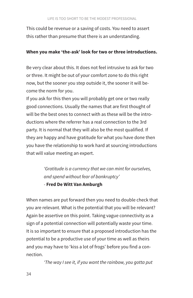This could be revenue or a saving of costs. You need to assert this rather than presume that there is an understanding.

#### **When you make 'the-ask' look for two or three introductions.**

Be very clear about this. It does not feel intrusive to ask for two or three. It might be out of your comfort zone to do this right now, but the sooner you step outside it, the sooner it will become the norm for you.

If you ask for this then you will probably get one or two really good connections. Usually the names that are first thought of will be the best ones to connect with as these will be the introductions where the referrer has a real connection to the 3rd party. It is normal that they will also be the most qualified. If they are happy and have gratitude for what you have done then you have the relationship to work hard at sourcing introductions that will value meeting an expert.

> *'Gratitude is a currency that we can mint for ourselves, and spend without fear of bankruptcy'*

#### - **Fred De Witt Van Amburgh**

When names are put forward then you need to double check that you are relevant. What is the potential that you will be relevant? Again be assertive on this point. Taking vague connectivity as a sign of a potential connection will potentially waste your time. It is so important to ensure that a proposed introduction has the potential to be a productive use of your time as well as theirs and you may have to 'kiss a lot of frogs' before you find a connection.

*'The way I see it, if you want the rainbow, you gotta put*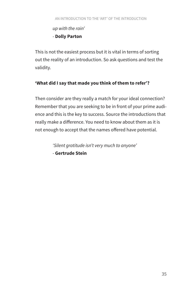*up with the rain'* - **Dolly Parton**

This is not the easiest process but it is vital in terms of sorting out the reality of an introduction. So ask questions and test the validity.

#### **'What did I say that made you think of them to refer'?**

Then consider are they really a match for your ideal connection? Remember that you are seeking to be in front of your prime audience and this is the key to success. Source the introductions that really make a difference. You need to know about them as it is not enough to accept that the names offered have potential.

> *'Silent gratitude isn't very much to anyone'* - **Gertrude Stein**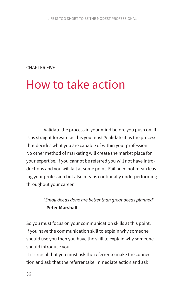#### CHAPTER FIVE

### How to take action

Validate the process in your mind before you push on. It is as straight forward as this you must 'V'alidate it as the process that decides what you are capable of within your profession. No other method of marketing will create the market place for your expertise. If you cannot be referred you will not have introductions and you will fail at some point. Fail need not mean leaving your profession but also means continually underperforming throughout your career.

#### *'Small deeds done are better than great deeds planned'* - **Peter Marshall**

So you must focus on your communication skills at this point. If you have the communication skill to explain why someone should use you then you have the skill to explain why someone should introduce you.

It is critical that you must ask the referrer to make the connection and ask that the referrer take immediate action and ask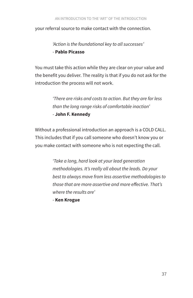your referral source to make contact with the connection.

*'Action is the foundational key to all successes'* - **Pablo Picasso**

You must take this action while they are clear on your value and the benefit you deliver. The reality is that if you do not ask for the introduction the process will not work.

> *'There are risks and costs to action. But they are far less than the long range risks of comfortable inaction'* - **John F. Kennedy**

Without a professional introduction an approach is a COLD CALL. This includes that if you call someone who doesn't know you or you make contact with someone who is not expecting the call.

> *'Take a long, hard look at your lead generation methodologies. It's really all about the leads. Do your best to always move from less assertive methodologies to those that are more assertive and more effective. That's where the results are'*

- **Ken Krogue**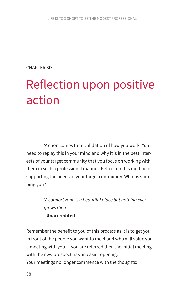#### CHAPTER SIX

# Reflection upon positive action

'A'ction comes from validation of how you work. You need to replay this in your mind and why it is in the best interests of your target community that you focus on working with them in such a professional manner. Reflect on this method of supporting the needs of your target community. What is stopping you?

> '*A comfort zone is a beautiful place but nothing ever grows there'*

#### - **Unaccredited**

Remember the benefit to you of this process as it is to get you in front of the people you want to meet and who will value you a meeting with you. If you are referred then the initial meeting with the new prospect has an easier opening. Your meetings no longer commence with the thoughts: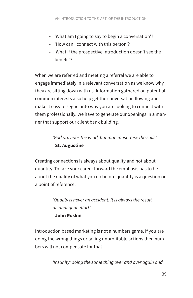- 'What am I going to say to begin a conversation'?
- 'How can I connect with this person'?
- 'What if the prospective introduction doesn't see the benefit'?

When we are referred and meeting a referral we are able to engage immediately in a relevant conversation as we know why they are sitting down with us. Information gathered on potential common interests also help get the conversation flowing and make it easy to segue onto why you are looking to connect with them professionally. We have to generate our openings in a manner that support our client bank building.

#### *'God provides the wind, but man must raise the sails'* - **St. Augustine**

Creating connections is always about quality and not about quantity. To take your career forward the emphasis has to be about the quality of what you do before quantity is a question or a point of reference.

> *'Quality is never an accident. It is always the result of intelligent effort'* - **John Ruskin**

Introduction based marketing is not a numbers game. If you are doing the wrong things or taking unprofitable actions then numbers will not compensate for that.

*'Insanity: doing the same thing over and over again and*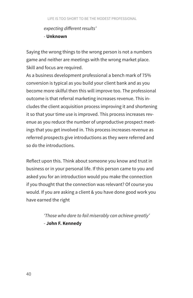#### *expecting different results'* - **Unknown**

Saying the wrong things to the wrong person is not a numbers game and neither are meetings with the wrong market place. Skill and focus are required.

As a business development professional a bench mark of 75% conversion is typical as you build your client bank and as you become more skilful then this will improve too. The professional outcome is that referral marketing increases revenue. This includes the client acquisition process improving it and shortening it so that your time use is improved. This process increases revenue as you reduce the number of unproductive prospect meetings that you get involved in. This process increases revenue as referred prospects give introductions as they were referred and so do the introductions.

Reflect upon this. Think about someone you know and trust in business or in your personal life. If this person came to you and asked you for an introduction would you make the connection if you thought that the connection was relevant? Of course you would. If you are asking a client & you have done good work you have earned the right

> *'Those who dare to fail miserably can achieve greatly'* - **John F. Kennedy**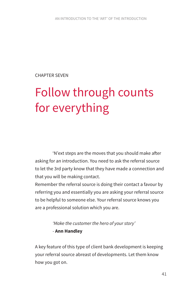#### CHAPTER SEVEN

# Follow through counts for everything

'N'ext steps are the moves that you should make after asking for an introduction. You need to ask the referral source to let the 3rd party know that they have made a connection and that you will be making contact.

Remember the referral source is doing their contact a favour by referring you and essentially you are asking your referral source to be helpful to someone else. Your referral source knows you are a professional solution which you are.

> *'Make the customer the hero of your story'* - **Ann Handley**

A key feature of this type of client bank development is keeping your referral source abreast of developments. Let them know how you got on.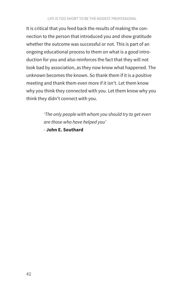#### LIFE IS TOO SHORT TO BE THE MODEST PROFESSIONAL

It is critical that you feed back the results of making the connection to the person that introduced you and show gratitude whether the outcome was successful or not. This is part of an ongoing educational process to them on what is a good introduction for you and also reinforces the fact that they will not look bad by association, as they now know what happened. The unknown becomes the known. So thank them if it is a positive meeting and thank them even more if it isn't. Let them know why you think they connected with you. Let them know why you think they didn't connect with you.

> *'The only people with whom you should try to get even are those who have helped you'*

- **John E. Southard**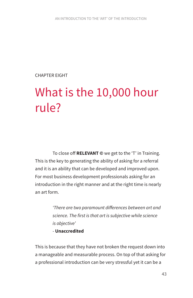#### CHAPTER EIGHT

# What is the 10,000 hour rule?

To close off **RELEVANT ©** we get to the 'T' in Training. This is the key to generating the ability of asking for a referral and it is an ability that can be developed and improved upon. For most business development professionals asking for an introduction in the right manner and at the right time is nearly an art form.

> *'There are two paramount differences between art and science. The first is that art is subjective while science is objective'*

#### - **Unaccredited**

This is because that they have not broken the request down into a manageable and measurable process. On top of that asking for a professional introduction can be very stressful yet it can be a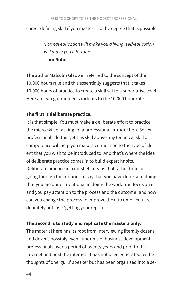career defining skill if you master it to the degree that is possible.

*'Formal education will make you a living; self-education will make you a fortune'*

- **Jim Rohn**

The author Malcolm Gladwell referred to the concept of the 10,000 hours rule and this essentially suggests that it takes 10,000 hours of practice to create a skill set to a superlative level. Here are two guaranteed shortcuts to the 10,000 hour rule

#### **The first is deliberate practice.**

It is that simple. You must make a deliberate effort to practice the micro skill of asking for a professional introduction. So few professionals do this yet this skill above any technical skill or competence will help you make a connection to the type of client that you wish to be introduced to. And that's where the idea of deliberate practice comes in to build expert habits. Deliberate practice in a nutshell means that rather than just going through the motions to say that you have done something that you are quite intentional in doing the work. You focus on it and you pay attention to the process and the outcome (and how can you change the process to improve the outcome). You are definitely not just: 'getting your reps in'.

#### **The second is to study and replicate the masters only.**

The material here has its root from interviewing literally dozens and dozens possibly even hundreds of business development professionals over a period of twenty years and prior to the internet and post the internet. It has not been generated by the thoughts of one 'guru' speaker but has been organised into a se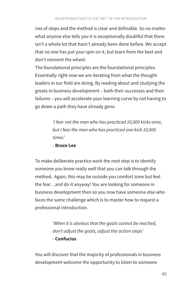ries of steps and the method is clear and definable. So no matter what anyone else tells you it is exceptionally doubtful that there isn't a whole lot that hasn't already been done before. We accept that no one has put your spin on it, but learn from the best and don't reinvent the wheel.

The foundational principles are the foundational principles. Essentially right now we are iterating from what the thought leaders in our field are doing. By reading about and studying the greats in business development – both their successes and their failures – you will accelerate your learning curve by not having to go down a path they have already gone.

> *'I fear not the man who has practiced 10,000 kicks once, but I fear the man who has practiced one kick 10,000 times'*

#### - **Bruce Lee**

To make deliberate practice work the next step is to identify someone you know really well that you can talk through the method. Again, this may be outside you comfort zone but feel the fear…and do it anyway! You are looking for someone in business development then so you now have someone else who faces the same challenge which is to master how to request a professional introduction.

> *'When it is obvious that the goals cannot be reached, don't adjust the goals, adjust the action steps'* - **Confucius**

You will discover that the majority of professionals in business development welcome the opportunity to listen to someone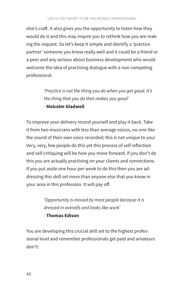else's craft. It also gives you the opportunity to listen how they would do it and this may inspire you to rethink how you are making the request. So let's keep it simple and identify a 'practice partner' someone you know really well and it could be a friend or a peer and any serious about business development who would welcome the idea of practising dialogue with a non competing professional.

> *'Practice is not the thing you do when you get good. It's the thing that you do that makes you good'* - **Malcolm Gladwell**

To improve your delivery record yourself and play it back. Take it from two musicians with less than average voices, no-one like the sound of their own voice recorded; this is not unique to you! Very, very, few people do this yet this process of self reflection and self critiquing will be how you move forward. If you don't do this you are actually practising on your clients and connections. If you put aside one hour per week to do this then you are addressing this skill set more than anyone else that you know in your area in this profession. It will pay off.

> *'Opportunity is missed by most people because it is dressed in overalls and looks like work'* - **Thomas Edison**

You are developing this crucial skill set to the highest professional level and remember professionals get paid and amateurs don't!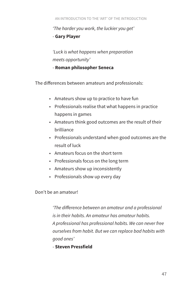#### AN INTRODUCTION TO THE 'ART' OF THE INTRODUCTION

*'The harder you work, the luckier you get'*

- **Gary Player**

*'Luck is what happens when preparation meets opportunity'*

- **Roman philosopher Seneca**

The differences between amateurs and professionals:

- Amateurs show up to practice to have fun
- Professionals realise that what happens in practice happens in games
- Amateurs think good outcomes are the result of their brilliance
- Professionals understand when good outcomes are the result of luck
- Amateurs focus on the short term
- Professionals focus on the long term
- Amateurs show up inconsistently
- Professionals show up every day

#### Don't be an amateur!

*'The difference between an amateur and a professional is in their habits. An amateur has amateur habits. A professional has professional habits. We can never free ourselves from habit. But we can replace bad habits with good ones'*

- **Steven Pressfield**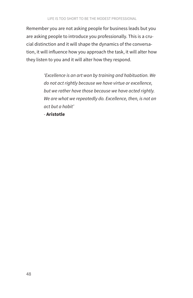Remember you are not asking people for business leads but you are asking people to introduce you professionally. This is a crucial distinction and it will shape the dynamics of the conversation, it will influence how you approach the task, it will alter how they listen to you and it will alter how they respond.

> *'Excellence is an art won by training and habituation. We do not act rightly because we have virtue or excellence, but we rather have those because we have acted rightly. We are what we repeatedly do. Excellence, then, is not an act but a habit'*

- **Aristotle**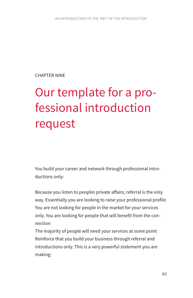CHAPTER NINE

# Our template for a professional introduction request

You build your career and network through professional introductions only:

Because you listen to peoples private affairs, referral is the only way. Essentially you are looking to raise your professional profile You are not looking for people in the market for your services only. You are looking for people that will benefit from the connection

The majority of people will need your services at some point Reinforce that you build your business through referral and introductions only. This is a very powerful statement you are making: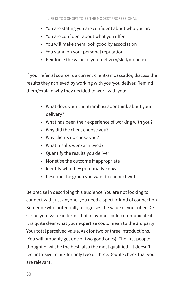- You are stating you are confident about who you are
- You are confident about what you offer
- You will make them look good by association
- You stand on your personal reputation
- Reinforce the value of your delivery/skill/monetise

If your referral source is a current client/ambassador, discuss the results they achieved by working with you/you deliver. Remind them/explain why they decided to work with you:

- What does your client/ambassador think about your delivery?
- What has been their experience of working with you?
- Why did the client choose you?
- Why clients do chose you?
- What results were achieved?
- Quantify the results you deliver
- Monetise the outcome if appropriate
- Identify who they potentially know
- Describe the group you want to connect with

Be precise in describing this audience .You are not looking to connect with just anyone, you need a specific kind of connection Someone who potentially recognises the value of your offer. Describe your value in terms that a layman could communicate it It is quite clear what your expertise could mean to the 3rd party Your total perceived value. Ask for two or three introductions. (You will probably get one or two good ones). The first people thought of will be the best, also the most qualified. It doesn't feel intrusive to ask for only two or three.Double check that you are relevant.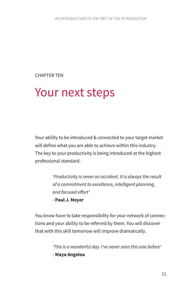CHAPTER TEN

### Your next steps

Your ability to be introduced & connected to your target market will define what you are able to achieve within this industry. The key to your productivity is being introduced at the highest professional standard.

> *'Productivity is never an accident. It is always the result of a commitment to excellence, intelligent planning, and focused effort'* - **Paul J. Meyer**

You know have to take responsibility for your network of connections and your ability to be referred by them. You will discover that with this skill tomorrow will improve dramatically.

> *'This is a wonderful day. I've never seen this one before'* - **Maya Angelou**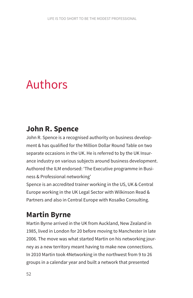## Authors

### **John R. Spence**

John R. Spence is a recognised authority on business development & has qualified for the Million Dollar Round Table on two separate occasions in the UK. He is referred to by the UK Insurance industry on various subjects around business development. Authored the ILM endorsed: 'The Executive programme in Business & Professional networking'

Spence is an accredited trainer working in the US, UK & Central Europe working in the UK Legal Sector with Wilkinson Read & Partners and also in Central Europe with Kosalko Consulting.

### **Martin Byrne**

Martin Byrne arrived in the UK from Auckland, New Zealand in 1985, lived in London for 20 before moving to Manchester in late 2006. The move was what started Martin on his networking journey as a new territory meant having to make new connections. In 2010 Martin took 4Networking in the northwest from 9 to 26 groups in a calendar year and built a network that presented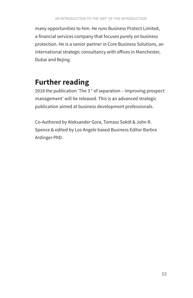many opportunities to him. He runs Business Protect Limited, a financial services company that focuses purely on business protection. He is a senior partner in Core Business Solutions, an international strategic consultancy with offices in Manchester, Dubai and Bejing.

### **Further reading**

2018 the publication 'The 3 ° of separation – improving prospect management' will be released. This is an advanced strategic publication aimed at business development professionals.

Co-Authored by Aleksander Gora, Tomasz Sokół & John R. Spence & edited by Los Angele based Business Editor Barbra Ardinger PhD.